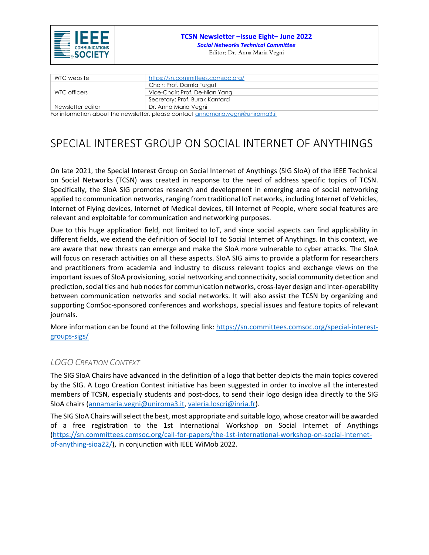

#### **TCSN Newsletter –Issue Eight– June 2022** *Social Networks Technical Committee*

Editor: Dr. Anna Maria Vegni

| WTC website                                                                      | https://sn.committees.comsoc.org/ |
|----------------------------------------------------------------------------------|-----------------------------------|
| WTC officers                                                                     | Chair: Prof. Damla Turgut         |
|                                                                                  | Vice-Chair: Prof. De-Nian Yang    |
|                                                                                  | Secretary: Prof. Burak Kantarci   |
| Newsletter editor                                                                | Dr. Anna Maria Vegni              |
| For information about the newsletter, please contact annamaria.vegni@uniroma3.it |                                   |

## SPECIAL INTEREST GROUP ON SOCIAL INTERNET OF ANYTHINGS

On late 2021, the Special Interest Group on Social Internet of Anythings (SIG SIoA) of the IEEE Technical on Social Networks (TCSN) was created in response to the need of address specific topics of TCSN. Specifically, the SIoA SIG promotes research and development in emerging area of social networking applied to communication networks, ranging from traditional IoT networks, including Internet of Vehicles, Internet of Flying devices, Internet of Medical devices, till Internet of People, where social features are relevant and exploitable for communication and networking purposes.

Due to this huge application field, not limited to IoT, and since social aspects can find applicability in different fields, we extend the definition of Social IoT to Social Internet of Anythings. In this context, we are aware that new threats can emerge and make the SIoA more vulnerable to cyber attacks. The SIoA will focus on reserach activities on all these aspects. SIoA SIG aims to provide a platform for researchers and practitioners from academia and industry to discuss relevant topics and exchange views on the important issues of SIoA provisioning, social networking and connectivity, social community detection and prediction, social ties and hub nodes for communication networks, cross-layer design and inter-operability between communication networks and social networks. It will also assist the TCSN by organizing and supporting ComSoc-sponsored conferences and workshops, special issues and feature topics of relevant journals.

More information can be found at the following link[: https://sn.committees.comsoc.org/special-interest](https://sn.committees.comsoc.org/special-interest-groups-sigs/)[groups-sigs/](https://sn.committees.comsoc.org/special-interest-groups-sigs/)

## *LOGO CREATION CONTEXT*

The SIG SIoA Chairs have advanced in the definition of a logo that better depicts the main topics covered by the SIG. A Logo Creation Contest initiative has been suggested in order to involve all the interested members of TCSN, especially students and post-docs, to send their logo design idea directly to the SIG SIoA chairs [\(annamaria.vegni@uniroma3.it,](mailto:annamaria.vegni@uniroma3.it) [valeria.loscri@inria.fr\)](mailto:valeria.loscri@inria.fr).

The SIG SIoA Chairs will select the best, most appropriate and suitable logo, whose creator will be awarded of a free registration to the 1st International Workshop on Social Internet of Anythings [\(https://sn.committees.comsoc.org/call-for-papers/the-1st-international-workshop-on-social-internet](https://sn.committees.comsoc.org/call-for-papers/the-1st-international-workshop-on-social-internet-of-anything-sioa22/)[of-anything-sioa22/\)](https://sn.committees.comsoc.org/call-for-papers/the-1st-international-workshop-on-social-internet-of-anything-sioa22/), in conjunction with IEEE WiMob 2022.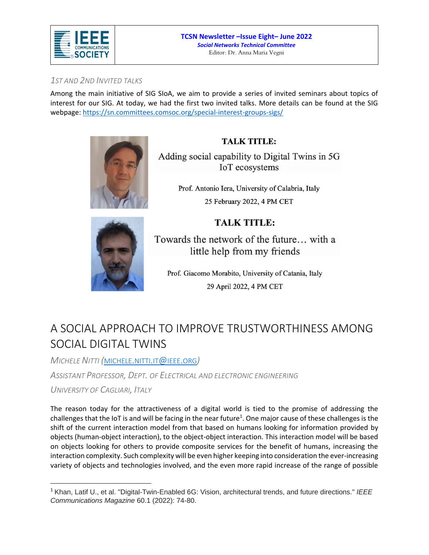

#### **TCSN Newsletter –Issue Eight– June 2022** *Social Networks Technical Committee* Editor: Dr. Anna Maria Vegni

## *1ST AND 2ND INVITED TALKS*

Among the main initiative of SIG SIoA, we aim to provide a series of invited seminars about topics of interest for our SIG. At today, we had the first two invited talks. More details can be found at the SIG webpage:<https://sn.committees.comsoc.org/special-interest-groups-sigs/>



## **TALK TITLE:**

Adding social capability to Digital Twins in 5G IoT ecosystems

> Prof. Antonio Iera, University of Calabria, Italy 25 February 2022, 4 PM CET

## **TALK TITLE:**



Prof. Giacomo Morabito, University of Catania, Italy 29 April 2022, 4 PM CET

# A SOCIAL APPROACH TO IMPROVE TRUSTWORTHINESS AMONG SOCIAL DIGITAL TWINS

*MICHELE NITTI (*[MICHELE](mailto:michele.nitti.it@ieee.org).NITTI.IT@IEEE.ORG*)*

*ASSISTANT PROFESSOR, DEPT. OF ELECTRICAL AND ELECTRONIC ENGINEERING* 

*UNIVERSITY OF CAGLIARI, ITALY*

l

The reason today for the attractiveness of a digital world is tied to the promise of addressing the challenges that the IoT is and will be facing in the near future<sup>1</sup>. One major cause of these challenges is the shift of the current interaction model from that based on humans looking for information provided by objects (human-object interaction), to the object-object interaction. This interaction model will be based on objects looking for others to provide composite services for the benefit of humans, increasing the interaction complexity. Such complexity will be even higher keeping into consideration the ever-increasing variety of objects and technologies involved, and the even more rapid increase of the range of possible

<sup>1</sup> Khan, Latif U., et al. "Digital-Twin-Enabled 6G: Vision, architectural trends, and future directions." *IEEE Communications Magazine* 60.1 (2022): 74-80.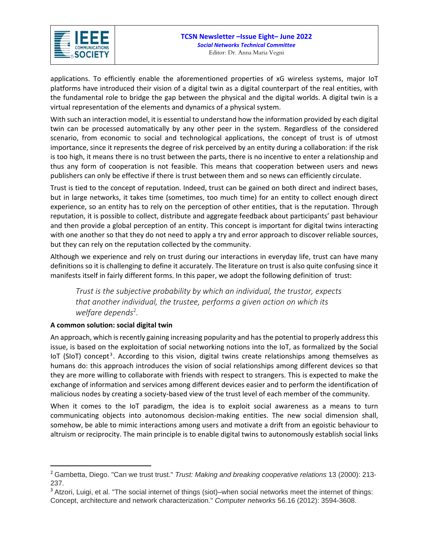applications. To efficiently enable the aforementioned properties of xG wireless systems, major IoT platforms have introduced their vision of a digital twin as a digital counterpart of the real entities, with the fundamental role to bridge the gap between the physical and the digital worlds. A digital twin is a virtual representation of the elements and dynamics of a physical system.

With such an interaction model, it is essential to understand how the information provided by each digital twin can be processed automatically by any other peer in the system. Regardless of the considered scenario, from economic to social and technological applications, the concept of trust is of utmost importance, since it represents the degree of risk perceived by an entity during a collaboration: if the risk is too high, it means there is no trust between the parts, there is no incentive to enter a relationship and thus any form of cooperation is not feasible. This means that cooperation between users and news publishers can only be effective if there is trust between them and so news can efficiently circulate.

Trust is tied to the concept of reputation. Indeed, trust can be gained on both direct and indirect bases, but in large networks, it takes time (sometimes, too much time) for an entity to collect enough direct experience, so an entity has to rely on the perception of other entities, that is the reputation. Through reputation, it is possible to collect, distribute and aggregate feedback about participants' past behaviour and then provide a global perception of an entity. This concept is important for digital twins interacting with one another so that they do not need to apply a try and error approach to discover reliable sources, but they can rely on the reputation collected by the community.

Although we experience and rely on trust during our interactions in everyday life, trust can have many definitions so it is challenging to define it accurately. The literature on trust is also quite confusing since it manifests itself in fairly different forms. In this paper, we adopt the following definition of trust:

*Trust is the subjective probability by which an individual, the trustor, expects that another individual, the trustee, performs a given action on which its welfare depends*<sup>2</sup> *.*

## **A common solution: social digital twin**

 $\overline{\phantom{a}}$ 

An approach, which is recently gaining increasing popularity and has the potential to properly address this issue, is based on the exploitation of social networking notions into the IoT, as formalized by the Social IoT (SIoT) concept<sup>3</sup>. According to this vision, digital twins create relationships among themselves as humans do: this approach introduces the vision of social relationships among different devices so that they are more willing to collaborate with friends with respect to strangers. This is expected to make the exchange of information and services among different devices easier and to perform the identification of malicious nodes by creating a society-based view of the trust level of each member of the community.

When it comes to the IoT paradigm, the idea is to exploit social awareness as a means to turn communicating objects into autonomous decision-making entities. The new social dimension shall, somehow, be able to mimic interactions among users and motivate a drift from an egoistic behaviour to altruism or reciprocity. The main principle is to enable digital twins to autonomously establish social links

<sup>2</sup> Gambetta, Diego. "Can we trust trust." *Trust: Making and breaking cooperative relations* 13 (2000): 213- 237.

<sup>&</sup>lt;sup>3</sup> Atzori, Luigi, et al. "The social internet of things (siot)–when social networks meet the internet of things: Concept, architecture and network characterization." *Computer networks* 56.16 (2012): 3594-3608.